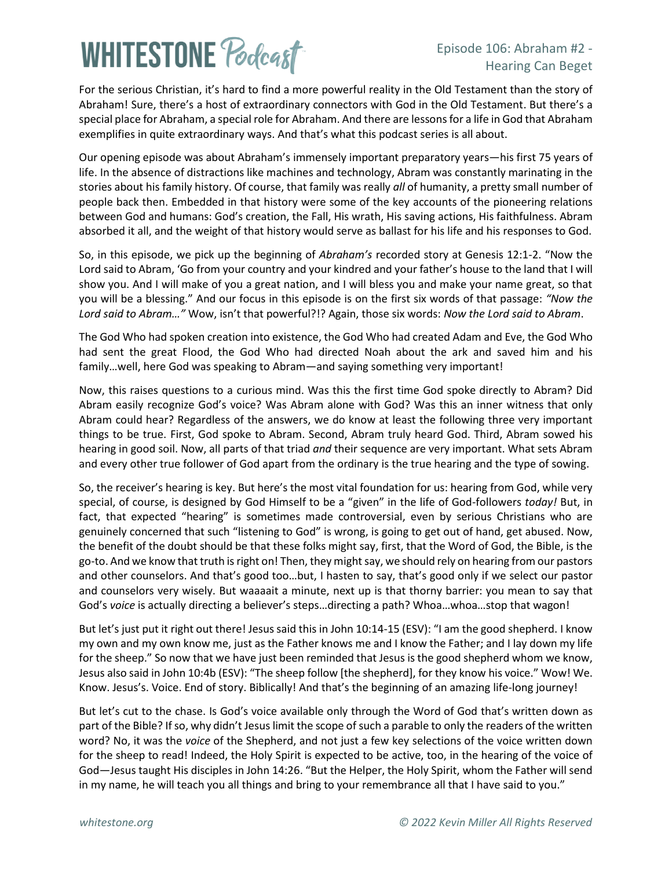# **WHITESTONE Poclast**

### Episode 106: Abraham #2 - Hearing Can Beget

For the serious Christian, it's hard to find a more powerful reality in the Old Testament than the story of Abraham! Sure, there's a host of extraordinary connectors with God in the Old Testament. But there's a special place for Abraham, a special role for Abraham. And there are lessons for a life in God that Abraham exemplifies in quite extraordinary ways. And that's what this podcast series is all about.

Our opening episode was about Abraham's immensely important preparatory years—his first 75 years of life. In the absence of distractions like machines and technology, Abram was constantly marinating in the stories about his family history. Of course, that family was really *all* of humanity, a pretty small number of people back then. Embedded in that history were some of the key accounts of the pioneering relations between God and humans: God's creation, the Fall, His wrath, His saving actions, His faithfulness. Abram absorbed it all, and the weight of that history would serve as ballast for his life and his responses to God.

So, in this episode, we pick up the beginning of *Abraham's* recorded story at Genesis 12:1-2. "Now the Lord said to Abram, 'Go from your country and your kindred and your father's house to the land that I will show you. And I will make of you a great nation, and I will bless you and make your name great, so that you will be a blessing." And our focus in this episode is on the first six words of that passage: *"Now the Lord said to Abram…"* Wow, isn't that powerful?!? Again, those six words: *Now the Lord said to Abram*.

The God Who had spoken creation into existence, the God Who had created Adam and Eve, the God Who had sent the great Flood, the God Who had directed Noah about the ark and saved him and his family…well, here God was speaking to Abram—and saying something very important!

Now, this raises questions to a curious mind. Was this the first time God spoke directly to Abram? Did Abram easily recognize God's voice? Was Abram alone with God? Was this an inner witness that only Abram could hear? Regardless of the answers, we do know at least the following three very important things to be true. First, God spoke to Abram. Second, Abram truly heard God. Third, Abram sowed his hearing in good soil. Now, all parts of that triad *and* their sequence are very important. What sets Abram and every other true follower of God apart from the ordinary is the true hearing and the type of sowing.

So, the receiver's hearing is key. But here's the most vital foundation for us: hearing from God, while very special, of course, is designed by God Himself to be a "given" in the life of God-followers *today!* But, in fact, that expected "hearing" is sometimes made controversial, even by serious Christians who are genuinely concerned that such "listening to God" is wrong, is going to get out of hand, get abused. Now, the benefit of the doubt should be that these folks might say, first, that the Word of God, the Bible, is the go-to. And we know that truth is right on! Then, they might say, we should rely on hearing from our pastors and other counselors. And that's good too…but, I hasten to say, that's good only if we select our pastor and counselors very wisely. But waaaait a minute, next up is that thorny barrier: you mean to say that God's *voice* is actually directing a believer's steps…directing a path? Whoa…whoa…stop that wagon!

But let's just put it right out there! Jesus said this in John 10:14-15 (ESV): "I am the good shepherd. I know my own and my own know me, just as the Father knows me and I know the Father; and I lay down my life for the sheep." So now that we have just been reminded that Jesus is the good shepherd whom we know, Jesus also said in John 10:4b (ESV): "The sheep follow [the shepherd], for they know his voice." Wow! We. Know. Jesus's. Voice. End of story. Biblically! And that's the beginning of an amazing life-long journey!

But let's cut to the chase. Is God's voice available only through the Word of God that's written down as part of the Bible? If so, why didn't Jesus limit the scope of such a parable to only the readers of the written word? No, it was the *voice* of the Shepherd, and not just a few key selections of the voice written down for the sheep to read! Indeed, the Holy Spirit is expected to be active, too, in the hearing of the voice of God—Jesus taught His disciples in John 14:26. "But the Helper, the Holy Spirit, whom the Father will send in my name, he will teach you all things and bring to your remembrance all that I have said to you."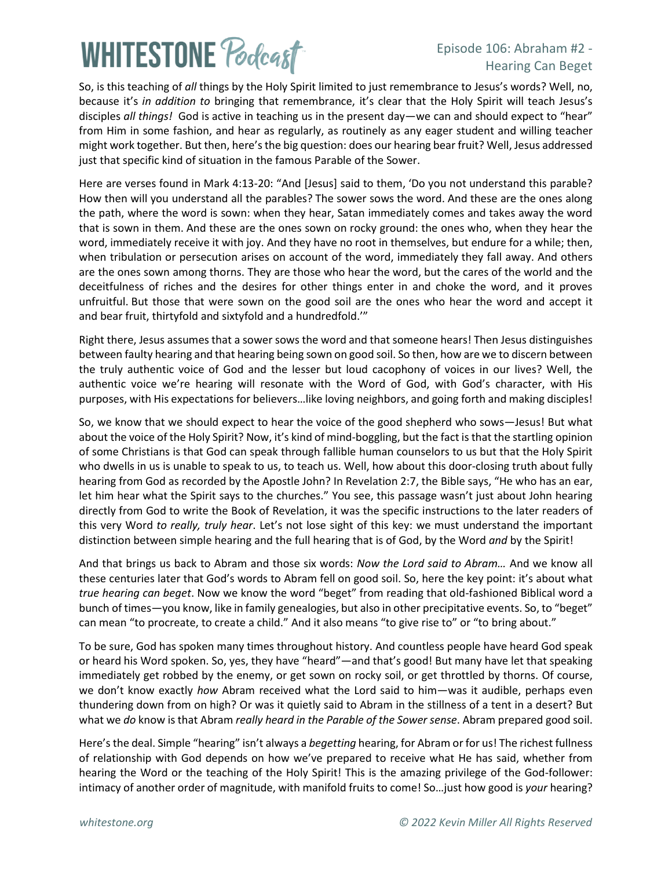# **WHITESTONE Podcast**

### Episode 106: Abraham #2 - Hearing Can Beget

So, is this teaching of *all* things by the Holy Spirit limited to just remembrance to Jesus's words? Well, no, because it's *in addition to* bringing that remembrance, it's clear that the Holy Spirit will teach Jesus's disciples *all things!* God is active in teaching us in the present day—we can and should expect to "hear" from Him in some fashion, and hear as regularly, as routinely as any eager student and willing teacher might work together. But then, here's the big question: does our hearing bear fruit? Well, Jesus addressed just that specific kind of situation in the famous Parable of the Sower.

Here are verses found in Mark 4:13-20: "And [Jesus] said to them, 'Do you not understand this parable? How then will you understand all the parables? The sower sows the word. And these are the ones along the path, where the word is sown: when they hear, Satan immediately comes and takes away the word that is sown in them. And these are the ones sown on rocky ground: the ones who, when they hear the word, immediately receive it with joy. And they have no root in themselves, but endure for a while; then, when tribulation or persecution arises on account of the word, immediately they fall away. And others are the ones sown among thorns. They are those who hear the word, but the cares of the world and the deceitfulness of riches and the desires for other things enter in and choke the word, and it proves unfruitful. But those that were sown on the good soil are the ones who hear the word and accept it and bear fruit, thirtyfold and sixtyfold and a hundredfold.'"

Right there, Jesus assumes that a sower sows the word and that someone hears! Then Jesus distinguishes between faulty hearing and that hearing being sown on good soil. So then, how are we to discern between the truly authentic voice of God and the lesser but loud cacophony of voices in our lives? Well, the authentic voice we're hearing will resonate with the Word of God, with God's character, with His purposes, with His expectations for believers…like loving neighbors, and going forth and making disciples!

So, we know that we should expect to hear the voice of the good shepherd who sows—Jesus! But what about the voice of the Holy Spirit? Now, it's kind of mind-boggling, but the fact is that the startling opinion of some Christians is that God can speak through fallible human counselors to us but that the Holy Spirit who dwells in us is unable to speak to us, to teach us. Well, how about this door-closing truth about fully hearing from God as recorded by the Apostle John? In Revelation 2:7, the Bible says, "He who has an ear, let him hear what the Spirit says to the churches." You see, this passage wasn't just about John hearing directly from God to write the Book of Revelation, it was the specific instructions to the later readers of this very Word *to really, truly hear*. Let's not lose sight of this key: we must understand the important distinction between simple hearing and the full hearing that is of God, by the Word *and* by the Spirit!

And that brings us back to Abram and those six words: *Now the Lord said to Abram…* And we know all these centuries later that God's words to Abram fell on good soil. So, here the key point: it's about what *true hearing can beget*. Now we know the word "beget" from reading that old-fashioned Biblical word a bunch of times—you know, like in family genealogies, but also in other precipitative events. So, to "beget" can mean "to procreate, to create a child." And it also means "to give rise to" or "to bring about."

To be sure, God has spoken many times throughout history. And countless people have heard God speak or heard his Word spoken. So, yes, they have "heard"—and that's good! But many have let that speaking immediately get robbed by the enemy, or get sown on rocky soil, or get throttled by thorns. Of course, we don't know exactly *how* Abram received what the Lord said to him—was it audible, perhaps even thundering down from on high? Or was it quietly said to Abram in the stillness of a tent in a desert? But what we *do* know is that Abram *really heard in the Parable of the Sower sense*. Abram prepared good soil.

Here's the deal. Simple "hearing" isn't always a *begetting* hearing, for Abram or for us! The richest fullness of relationship with God depends on how we've prepared to receive what He has said, whether from hearing the Word or the teaching of the Holy Spirit! This is the amazing privilege of the God-follower: intimacy of another order of magnitude, with manifold fruits to come! So…just how good is *your* hearing?